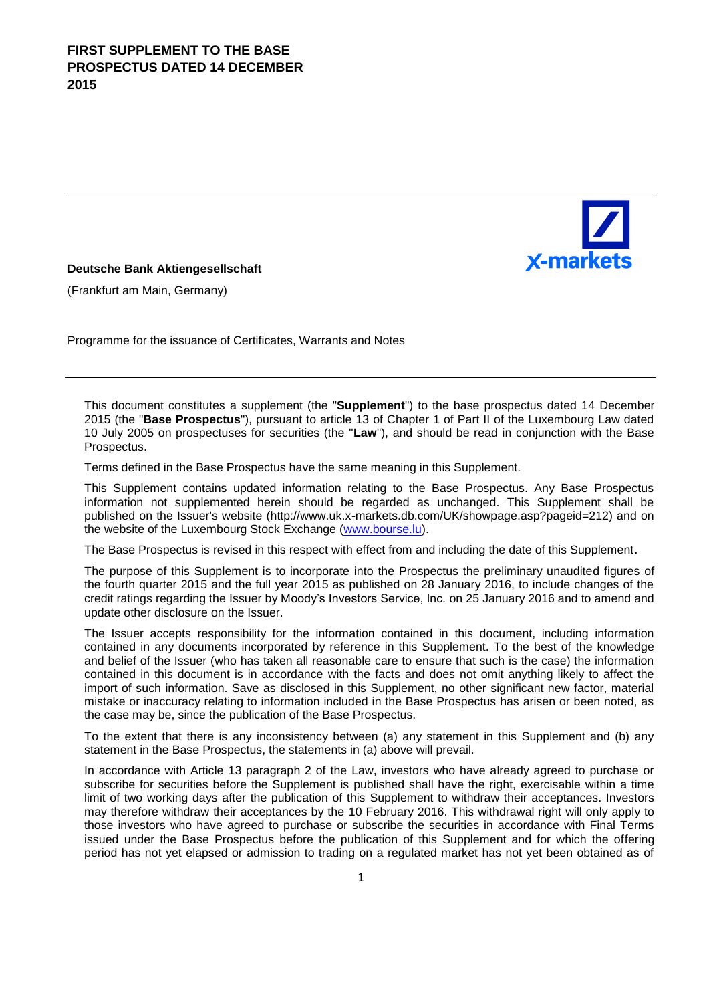

### **Deutsche Bank Aktiengesellschaft**

(Frankfurt am Main, Germany)

Programme for the issuance of Certificates, Warrants and Notes

This document constitutes a supplement (the "**Supplement**") to the base prospectus dated 14 December 2015 (the "**Base Prospectus**"), pursuant to article 13 of Chapter 1 of Part II of the Luxembourg Law dated 10 July 2005 on prospectuses for securities (the "**Law**"), and should be read in conjunction with the Base Prospectus.

Terms defined in the Base Prospectus have the same meaning in this Supplement.

This Supplement contains updated information relating to the Base Prospectus. Any Base Prospectus information not supplemented herein should be regarded as unchanged. This Supplement shall be published on the Issuer's website (http://www.uk.x-markets.db.com/UK/showpage.asp?pageid=212) and on the website of the Luxembourg Stock Exchange (www.bourse.lu).

The Base Prospectus is revised in this respect with effect from and including the date of this Supplement**.**

The purpose of this Supplement is to incorporate into the Prospectus the preliminary unaudited figures of the fourth quarter 2015 and the full year 2015 as published on 28 January 2016, to include changes of the credit ratings regarding the Issuer by Moody's Investors Service, Inc. on 25 January 2016 and to amend and update other disclosure on the Issuer.

The Issuer accepts responsibility for the information contained in this document, including information contained in any documents incorporated by reference in this Supplement. To the best of the knowledge and belief of the Issuer (who has taken all reasonable care to ensure that such is the case) the information contained in this document is in accordance with the facts and does not omit anything likely to affect the import of such information. Save as disclosed in this Supplement, no other significant new factor, material mistake or inaccuracy relating to information included in the Base Prospectus has arisen or been noted, as the case may be, since the publication of the Base Prospectus.

To the extent that there is any inconsistency between (a) any statement in this Supplement and (b) any statement in the Base Prospectus, the statements in (a) above will prevail.

In accordance with Article 13 paragraph 2 of the Law, investors who have already agreed to purchase or subscribe for securities before the Supplement is published shall have the right, exercisable within a time limit of two working days after the publication of this Supplement to withdraw their acceptances. Investors may therefore withdraw their acceptances by the 10 February 2016. This withdrawal right will only apply to those investors who have agreed to purchase or subscribe the securities in accordance with Final Terms issued under the Base Prospectus before the publication of this Supplement and for which the offering period has not yet elapsed or admission to trading on a regulated market has not yet been obtained as of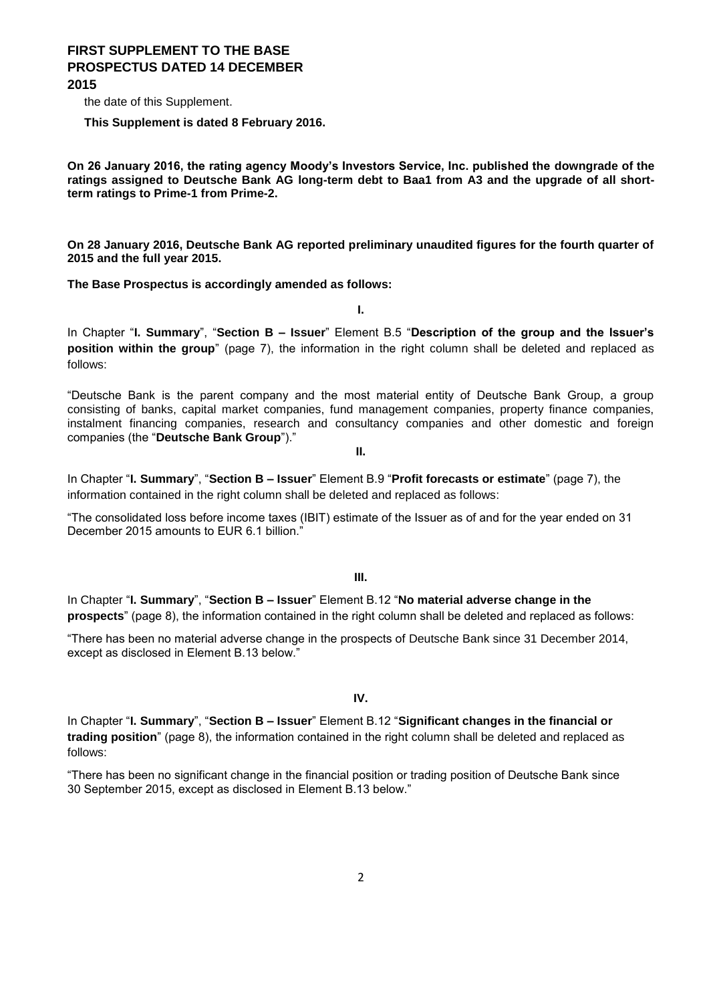the date of this Supplement.

**This Supplement is dated 8 February 2016.**

**On 26 January 2016, the rating agency Moody's Investors Service, Inc. published the downgrade of the ratings assigned to Deutsche Bank AG long-term debt to Baa1 from A3 and the upgrade of all shortterm ratings to Prime-1 from Prime-2.**

**On 28 January 2016, Deutsche Bank AG reported preliminary unaudited figures for the fourth quarter of 2015 and the full year 2015.**

**The Base Prospectus is accordingly amended as follows:**

**I.**

In Chapter "**I. Summary**", "**Section B – Issuer**" Element B.5 "**Description of the group and the Issuer's position within the group**" (page 7), the information in the right column shall be deleted and replaced as follows:

"Deutsche Bank is the parent company and the most material entity of Deutsche Bank Group, a group consisting of banks, capital market companies, fund management companies, property finance companies, instalment financing companies, research and consultancy companies and other domestic and foreign companies (the "**Deutsche Bank Group**")."

**II.**

In Chapter "**I. Summary**", "**Section B – Issuer**" Element B.9 "**Profit forecasts or estimate**" (page 7), the information contained in the right column shall be deleted and replaced as follows:

"The consolidated loss before income taxes (IBIT) estimate of the Issuer as of and for the year ended on 31 December 2015 amounts to EUR 6.1 billion."

#### **III.**

In Chapter "**I. Summary**", "**Section B – Issuer**" Element B.12 "**No material adverse change in the prospects**" (page 8), the information contained in the right column shall be deleted and replaced as follows:

"There has been no material adverse change in the prospects of Deutsche Bank since 31 December 2014, except as disclosed in Element B.13 below."

**IV.**

In Chapter "**I. Summary**", "**Section B – Issuer**" Element B.12 "**Significant changes in the financial or trading position**" (page 8), the information contained in the right column shall be deleted and replaced as follows:

"There has been no significant change in the financial position or trading position of Deutsche Bank since 30 September 2015, except as disclosed in Element B.13 below."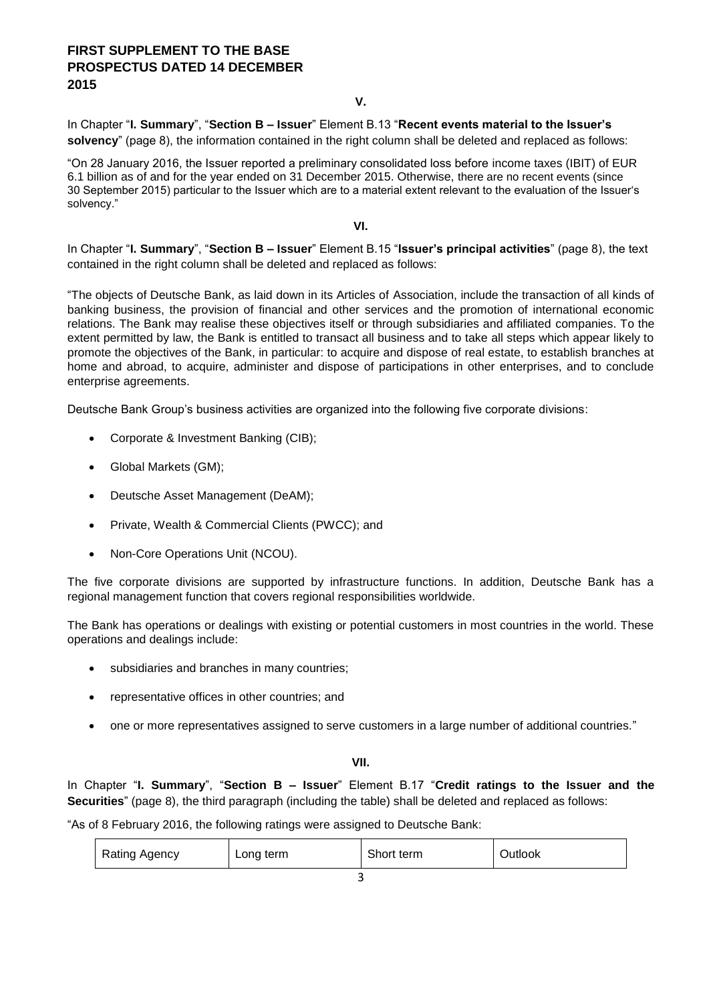### **V.**

In Chapter "**I. Summary**", "**Section B – Issuer**" Element B.13 "**Recent events material to the Issuer's solvency**" (page 8), the information contained in the right column shall be deleted and replaced as follows:

"On 28 January 2016, the Issuer reported a preliminary consolidated loss before income taxes (IBIT) of EUR 6.1 billion as of and for the year ended on 31 December 2015. Otherwise, there are no recent events (since 30 September 2015) particular to the Issuer which are to a material extent relevant to the evaluation of the Issuer's solvency."

### **VI.**

In Chapter "**I. Summary**", "**Section B – Issuer**" Element B.15 "**Issuer's principal activities**" (page 8), the text contained in the right column shall be deleted and replaced as follows:

"The objects of Deutsche Bank, as laid down in its Articles of Association, include the transaction of all kinds of banking business, the provision of financial and other services and the promotion of international economic relations. The Bank may realise these objectives itself or through subsidiaries and affiliated companies. To the extent permitted by law, the Bank is entitled to transact all business and to take all steps which appear likely to promote the objectives of the Bank, in particular: to acquire and dispose of real estate, to establish branches at home and abroad, to acquire, administer and dispose of participations in other enterprises, and to conclude enterprise agreements.

Deutsche Bank Group's business activities are organized into the following five corporate divisions:

- Corporate & Investment Banking (CIB):
- Global Markets (GM);
- Deutsche Asset Management (DeAM);
- Private, Wealth & Commercial Clients (PWCC); and
- Non-Core Operations Unit (NCOU).

The five corporate divisions are supported by infrastructure functions. In addition, Deutsche Bank has a regional management function that covers regional responsibilities worldwide.

The Bank has operations or dealings with existing or potential customers in most countries in the world. These operations and dealings include:

- subsidiaries and branches in many countries;
- representative offices in other countries; and
- one or more representatives assigned to serve customers in a large number of additional countries."

### **VII.**

In Chapter "**I. Summary**", "**Section B – Issuer**" Element B.17 "**Credit ratings to the Issuer and the Securities**" (page 8), the third paragraph (including the table) shall be deleted and replaced as follows:

"As of 8 February 2016, the following ratings were assigned to Deutsche Bank:

| <b>Rating Agency</b><br>Long term | Short term | Outlook |
|-----------------------------------|------------|---------|
|-----------------------------------|------------|---------|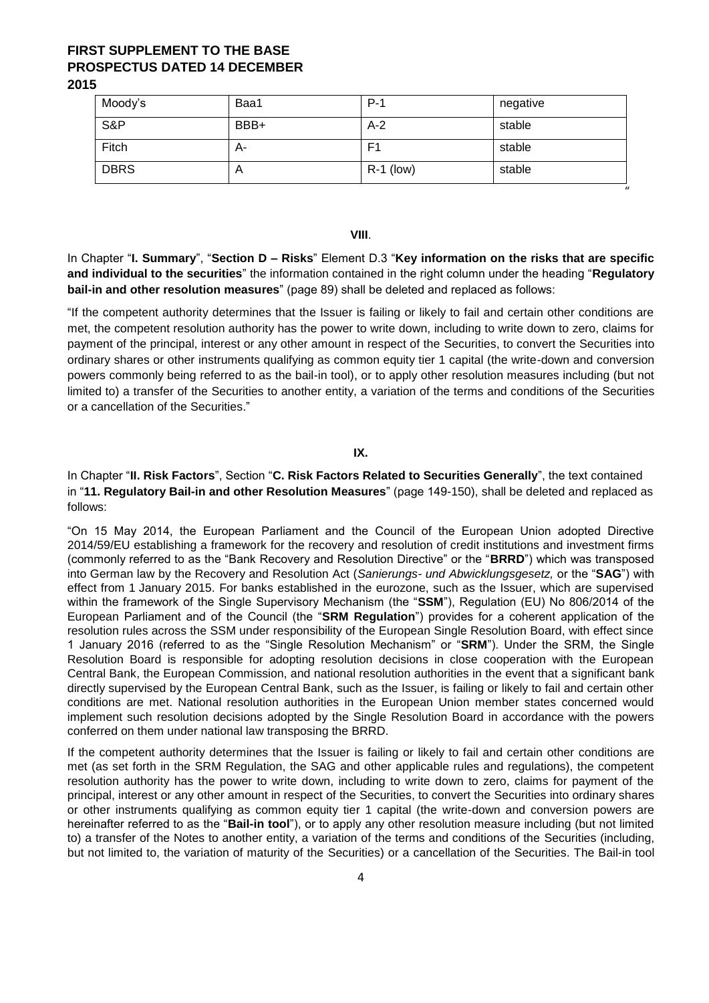| Moody's     | Baa1 | $P-1$       | negative |
|-------------|------|-------------|----------|
| S&P         | BBB+ | $A-2$       | stable   |
| Fitch       | А-   | F1          | stable   |
| <b>DBRS</b> | A    | $R-1$ (low) | stable   |

**VIII**.

 $"$ 

In Chapter "**I. Summary**", "**Section D – Risks**" Element D.3 "**Key information on the risks that are specific and individual to the securities**" the information contained in the right column under the heading "**Regulatory bail-in and other resolution measures**" (page 89) shall be deleted and replaced as follows:

"If the competent authority determines that the Issuer is failing or likely to fail and certain other conditions are met, the competent resolution authority has the power to write down, including to write down to zero, claims for payment of the principal, interest or any other amount in respect of the Securities, to convert the Securities into ordinary shares or other instruments qualifying as common equity tier 1 capital (the write-down and conversion powers commonly being referred to as the bail-in tool), or to apply other resolution measures including (but not limited to) a transfer of the Securities to another entity, a variation of the terms and conditions of the Securities or a cancellation of the Securities."

### **IX.**

In Chapter "**II. Risk Factors**", Section "**C. Risk Factors Related to Securities Generally**", the text contained in "**11. Regulatory Bail-in and other Resolution Measures**" (page 149-150), shall be deleted and replaced as follows:

"On 15 May 2014, the European Parliament and the Council of the European Union adopted Directive 2014/59/EU establishing a framework for the recovery and resolution of credit institutions and investment firms (commonly referred to as the "Bank Recovery and Resolution Directive" or the "**BRRD**") which was transposed into German law by the Recovery and Resolution Act (*Sanierungs- und Abwicklungsgesetz,* or the "**SAG**") with effect from 1 January 2015. For banks established in the eurozone, such as the Issuer, which are supervised within the framework of the Single Supervisory Mechanism (the "**SSM**"), Regulation (EU) No 806/2014 of the European Parliament and of the Council (the "**SRM Regulation**") provides for a coherent application of the resolution rules across the SSM under responsibility of the European Single Resolution Board, with effect since 1 January 2016 (referred to as the "Single Resolution Mechanism" or "**SRM**"). Under the SRM, the Single Resolution Board is responsible for adopting resolution decisions in close cooperation with the European Central Bank, the European Commission, and national resolution authorities in the event that a significant bank directly supervised by the European Central Bank, such as the Issuer, is failing or likely to fail and certain other conditions are met. National resolution authorities in the European Union member states concerned would implement such resolution decisions adopted by the Single Resolution Board in accordance with the powers conferred on them under national law transposing the BRRD.

If the competent authority determines that the Issuer is failing or likely to fail and certain other conditions are met (as set forth in the SRM Regulation, the SAG and other applicable rules and regulations), the competent resolution authority has the power to write down, including to write down to zero, claims for payment of the principal, interest or any other amount in respect of the Securities, to convert the Securities into ordinary shares or other instruments qualifying as common equity tier 1 capital (the write-down and conversion powers are hereinafter referred to as the "**Bail-in tool**"), or to apply any other resolution measure including (but not limited to) a transfer of the Notes to another entity, a variation of the terms and conditions of the Securities (including, but not limited to, the variation of maturity of the Securities) or a cancellation of the Securities. The Bail-in tool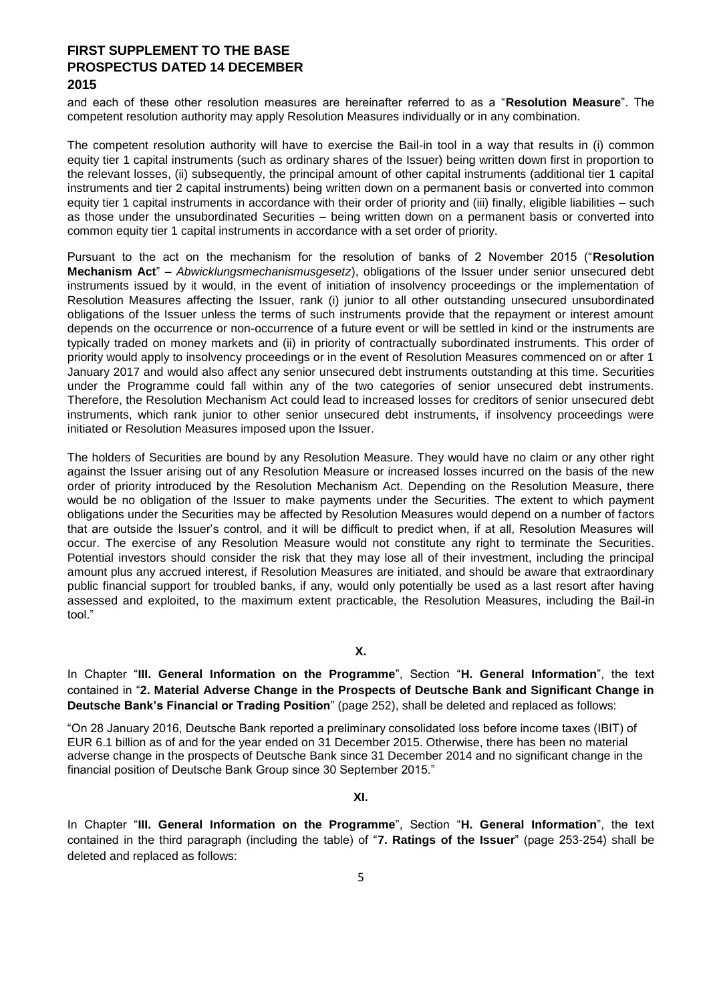and each of these other resolution measures are hereinafter referred to as a "**Resolution Measure**". The competent resolution authority may apply Resolution Measures individually or in any combination.

The competent resolution authority will have to exercise the Bail-in tool in a way that results in (i) common equity tier 1 capital instruments (such as ordinary shares of the Issuer) being written down first in proportion to the relevant losses, (ii) subsequently, the principal amount of other capital instruments (additional tier 1 capital instruments and tier 2 capital instruments) being written down on a permanent basis or converted into common equity tier 1 capital instruments in accordance with their order of priority and (iii) finally, eligible liabilities – such as those under the unsubordinated Securities – being written down on a permanent basis or converted into common equity tier 1 capital instruments in accordance with a set order of priority.

Pursuant to the act on the mechanism for the resolution of banks of 2 November 2015 ("**Resolution Mechanism Act**" – *Abwicklungsmechanismusgesetz*), obligations of the Issuer under senior unsecured debt instruments issued by it would, in the event of initiation of insolvency proceedings or the implementation of Resolution Measures affecting the Issuer, rank (i) junior to all other outstanding unsecured unsubordinated obligations of the Issuer unless the terms of such instruments provide that the repayment or interest amount depends on the occurrence or non-occurrence of a future event or will be settled in kind or the instruments are typically traded on money markets and (ii) in priority of contractually subordinated instruments. This order of priority would apply to insolvency proceedings or in the event of Resolution Measures commenced on or after 1 January 2017 and would also affect any senior unsecured debt instruments outstanding at this time. Securities under the Programme could fall within any of the two categories of senior unsecured debt instruments. Therefore, the Resolution Mechanism Act could lead to increased losses for creditors of senior unsecured debt instruments, which rank junior to other senior unsecured debt instruments, if insolvency proceedings were initiated or Resolution Measures imposed upon the Issuer.

The holders of Securities are bound by any Resolution Measure. They would have no claim or any other right against the Issuer arising out of any Resolution Measure or increased losses incurred on the basis of the new order of priority introduced by the Resolution Mechanism Act. Depending on the Resolution Measure, there would be no obligation of the Issuer to make payments under the Securities. The extent to which payment obligations under the Securities may be affected by Resolution Measures would depend on a number of factors that are outside the Issuer's control, and it will be difficult to predict when, if at all, Resolution Measures will occur. The exercise of any Resolution Measure would not constitute any right to terminate the Securities. Potential investors should consider the risk that they may lose all of their investment, including the principal amount plus any accrued interest, if Resolution Measures are initiated, and should be aware that extraordinary public financial support for troubled banks, if any, would only potentially be used as a last resort after having assessed and exploited, to the maximum extent practicable, the Resolution Measures, including the Bail-in tool."

**X.**

In Chapter "**III. General Information on the Programme**", Section "**H. General Information**", the text contained in "**2. Material Adverse Change in the Prospects of Deutsche Bank and Significant Change in Deutsche Bank's Financial or Trading Position**" (page 252), shall be deleted and replaced as follows:

"On 28 January 2016, Deutsche Bank reported a preliminary consolidated loss before income taxes (IBIT) of EUR 6.1 billion as of and for the year ended on 31 December 2015. Otherwise, there has been no material adverse change in the prospects of Deutsche Bank since 31 December 2014 and no significant change in the financial position of Deutsche Bank Group since 30 September 2015."

**XI.**

In Chapter "**III. General Information on the Programme**", Section "**H. General Information**", the text contained in the third paragraph (including the table) of "**7. Ratings of the Issuer**" (page 253-254) shall be deleted and replaced as follows: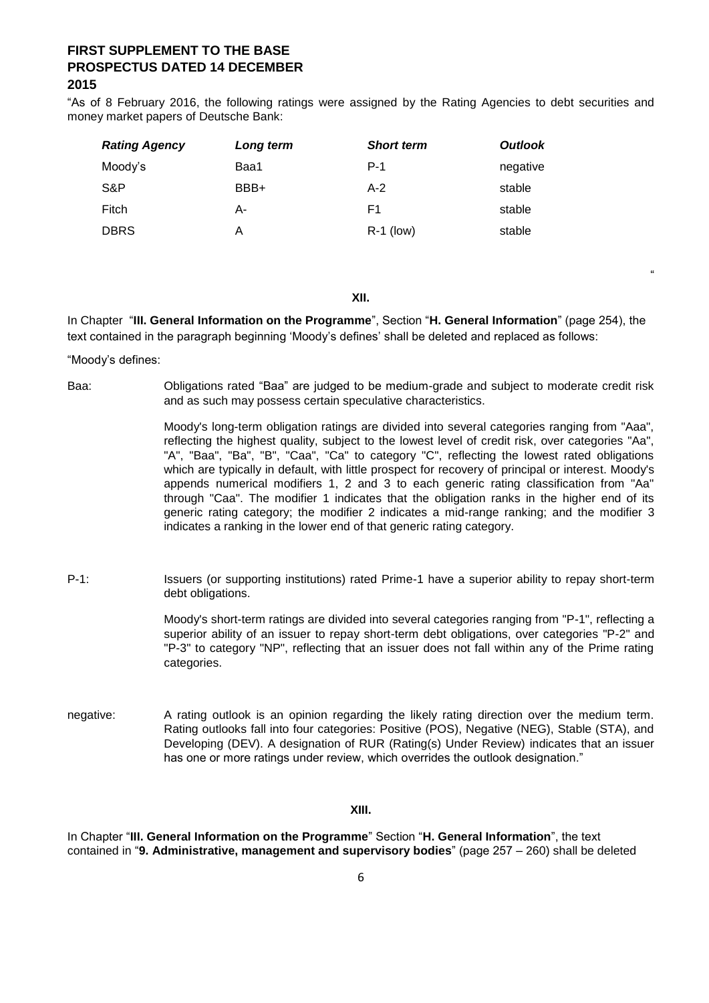"As of 8 February 2016, the following ratings were assigned by the Rating Agencies to debt securities and money market papers of Deutsche Bank:

| <b>Rating Agency</b> | Long term | <b>Short term</b> | <b>Outlook</b> |
|----------------------|-----------|-------------------|----------------|
| Moody's              | Baa1      | $P-1$             | negative       |
| S&P                  | BBB+      | $A-2$             | stable         |
| Fitch                | А-        | F1                | stable         |
| <b>DBRS</b>          | А         | $R-1$ (low)       | stable         |

**XII.**

In Chapter "**III. General Information on the Programme**", Section "**H. General Information**" (page 254), the text contained in the paragraph beginning 'Moody's defines' shall be deleted and replaced as follows:

"Moody's defines:

Baa: Obligations rated "Baa" are judged to be medium-grade and subject to moderate credit risk and as such may possess certain speculative characteristics.

> Moody's long-term obligation ratings are divided into several categories ranging from "Aaa", reflecting the highest quality, subject to the lowest level of credit risk, over categories "Aa", "A", "Baa", "Ba", "B", "Caa", "Ca" to category "C", reflecting the lowest rated obligations which are typically in default, with little prospect for recovery of principal or interest. Moody's appends numerical modifiers 1, 2 and 3 to each generic rating classification from "Aa" through "Caa". The modifier 1 indicates that the obligation ranks in the higher end of its generic rating category; the modifier 2 indicates a mid-range ranking; and the modifier 3 indicates a ranking in the lower end of that generic rating category.

"

P-1: Issuers (or supporting institutions) rated Prime-1 have a superior ability to repay short-term debt obligations.

> Moody's short-term ratings are divided into several categories ranging from "P-1", reflecting a superior ability of an issuer to repay short-term debt obligations, over categories "P-2" and "P-3" to category "NP", reflecting that an issuer does not fall within any of the Prime rating categories.

negative: A rating outlook is an opinion regarding the likely rating direction over the medium term. Rating outlooks fall into four categories: Positive (POS), Negative (NEG), Stable (STA), and Developing (DEV). A designation of RUR (Rating(s) Under Review) indicates that an issuer has one or more ratings under review, which overrides the outlook designation."

**XIII.**

In Chapter "**III. General Information on the Programme**" Section "**H. General Information**", the text contained in "**9. Administrative, management and supervisory bodies**" (page 257 – 260) shall be deleted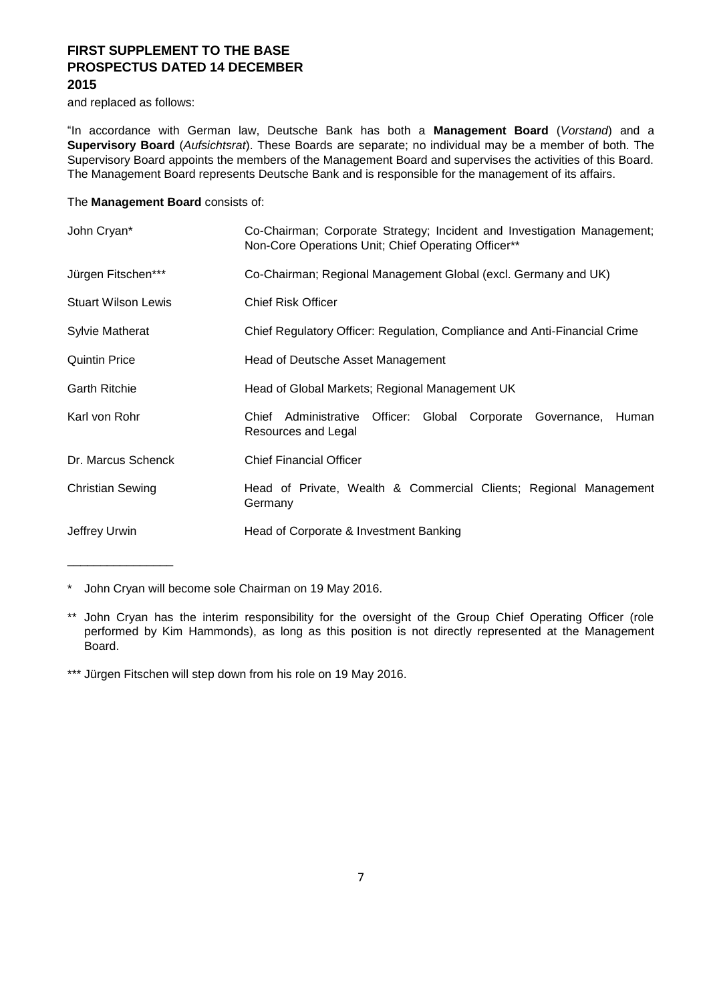and replaced as follows:

\_\_\_\_\_\_\_\_\_\_\_\_\_\_\_\_

"In accordance with German law, Deutsche Bank has both a **Management Board** (*Vorstand*) and a **Supervisory Board** (*Aufsichtsrat*). These Boards are separate; no individual may be a member of both. The Supervisory Board appoints the members of the Management Board and supervises the activities of this Board. The Management Board represents Deutsche Bank and is responsible for the management of its affairs.

### The **Management Board** consists of:

| John Cryan*                | Co-Chairman; Corporate Strategy; Incident and Investigation Management;<br>Non-Core Operations Unit; Chief Operating Officer** |  |  |  |  |  |
|----------------------------|--------------------------------------------------------------------------------------------------------------------------------|--|--|--|--|--|
| Jürgen Fitschen***         | Co-Chairman; Regional Management Global (excl. Germany and UK)                                                                 |  |  |  |  |  |
| <b>Stuart Wilson Lewis</b> | <b>Chief Risk Officer</b>                                                                                                      |  |  |  |  |  |
| <b>Sylvie Matherat</b>     | Chief Regulatory Officer: Regulation, Compliance and Anti-Financial Crime                                                      |  |  |  |  |  |
| <b>Quintin Price</b>       | Head of Deutsche Asset Management                                                                                              |  |  |  |  |  |
| <b>Garth Ritchie</b>       | Head of Global Markets; Regional Management UK                                                                                 |  |  |  |  |  |
| Karl von Rohr              | Chief Administrative Officer: Global Corporate Governance,<br><b>Human</b><br>Resources and Legal                              |  |  |  |  |  |
| Dr. Marcus Schenck         | <b>Chief Financial Officer</b>                                                                                                 |  |  |  |  |  |
| <b>Christian Sewing</b>    | Head of Private, Wealth & Commercial Clients; Regional Management<br>Germany                                                   |  |  |  |  |  |
| Jeffrey Urwin              | Head of Corporate & Investment Banking                                                                                         |  |  |  |  |  |

\* John Cryan will become sole Chairman on 19 May 2016.

\*\*\* Jürgen Fitschen will step down from his role on 19 May 2016.

<sup>\*\*</sup> John Cryan has the interim responsibility for the oversight of the Group Chief Operating Officer (role performed by Kim Hammonds), as long as this position is not directly represented at the Management Board.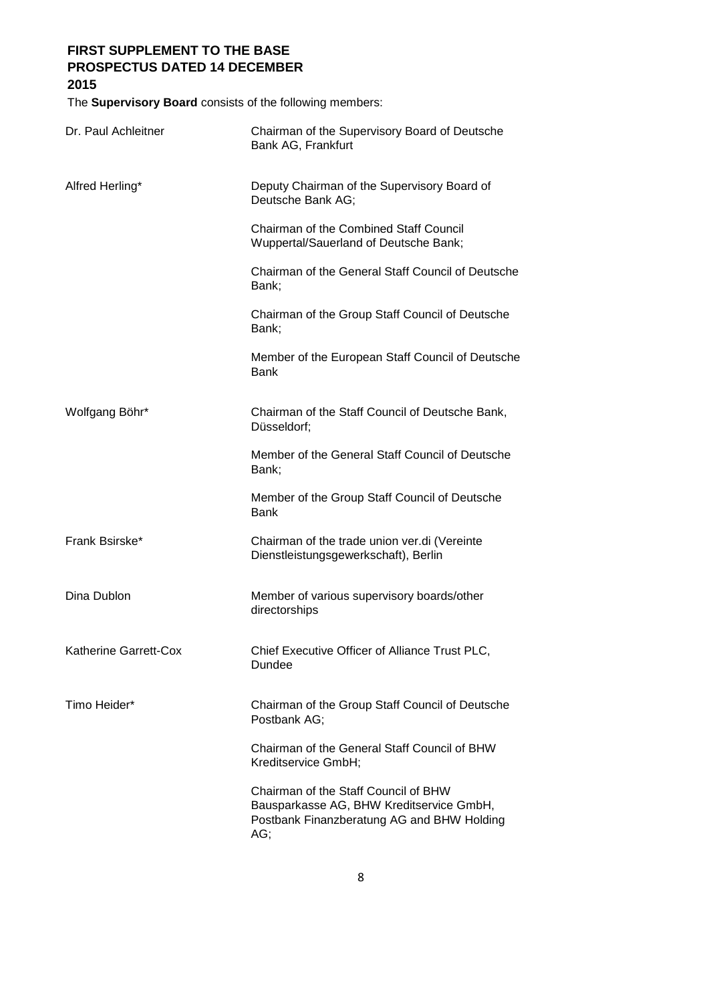## **2015**

The **Supervisory Board** consists of the following members:

| Dr. Paul Achleitner          | Chairman of the Supervisory Board of Deutsche<br>Bank AG, Frankfurt                                                                   |
|------------------------------|---------------------------------------------------------------------------------------------------------------------------------------|
| Alfred Herling*              | Deputy Chairman of the Supervisory Board of<br>Deutsche Bank AG;                                                                      |
|                              | <b>Chairman of the Combined Staff Council</b><br>Wuppertal/Sauerland of Deutsche Bank;                                                |
|                              | Chairman of the General Staff Council of Deutsche<br>Bank;                                                                            |
|                              | Chairman of the Group Staff Council of Deutsche<br>Bank;                                                                              |
|                              | Member of the European Staff Council of Deutsche<br><b>Bank</b>                                                                       |
| Wolfgang Böhr*               | Chairman of the Staff Council of Deutsche Bank,<br>Düsseldorf;                                                                        |
|                              | Member of the General Staff Council of Deutsche<br>Bank;                                                                              |
|                              | Member of the Group Staff Council of Deutsche<br><b>Bank</b>                                                                          |
| Frank Bsirske*               | Chairman of the trade union ver.di (Vereinte<br>Dienstleistungsgewerkschaft), Berlin                                                  |
| Dina Dublon                  | Member of various supervisory boards/other<br>directorships                                                                           |
| <b>Katherine Garrett-Cox</b> | Chief Executive Officer of Alliance Trust PLC,<br>Dundee                                                                              |
| Timo Heider*                 | Chairman of the Group Staff Council of Deutsche<br>Postbank AG;                                                                       |
|                              | Chairman of the General Staff Council of BHW<br>Kreditservice GmbH;                                                                   |
|                              | Chairman of the Staff Council of BHW<br>Bausparkasse AG, BHW Kreditservice GmbH,<br>Postbank Finanzberatung AG and BHW Holding<br>AG; |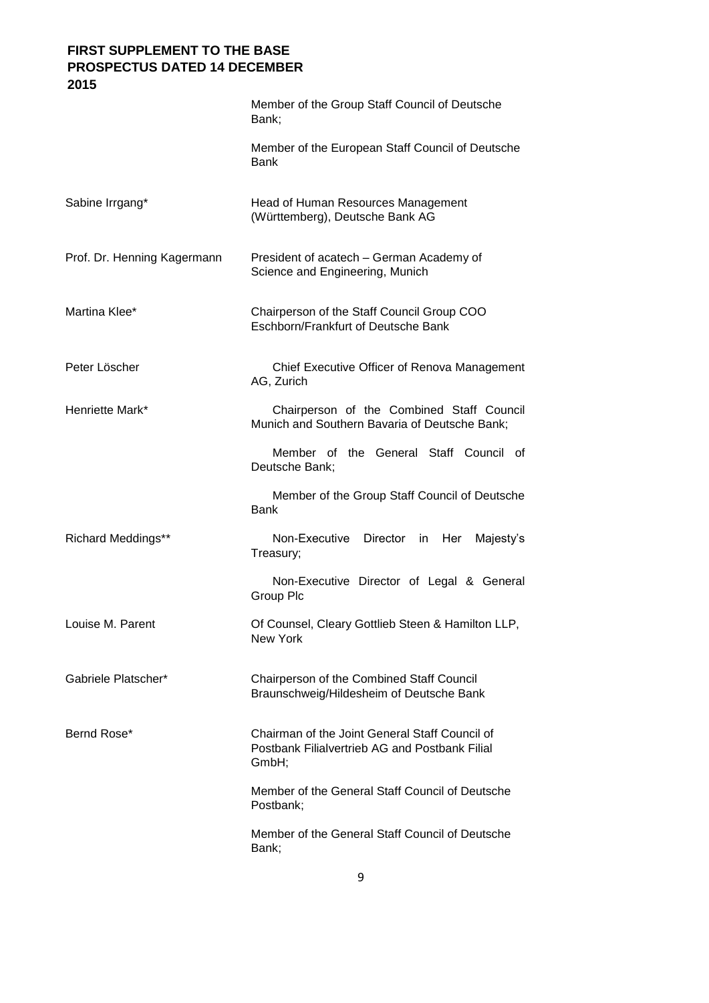|                             | Member of the Group Staff Council of Deutsche<br>Bank;                                                    |
|-----------------------------|-----------------------------------------------------------------------------------------------------------|
|                             | Member of the European Staff Council of Deutsche<br><b>Bank</b>                                           |
| Sabine Irrgang*             | Head of Human Resources Management<br>(Württemberg), Deutsche Bank AG                                     |
| Prof. Dr. Henning Kagermann | President of acatech - German Academy of<br>Science and Engineering, Munich                               |
| Martina Klee*               | Chairperson of the Staff Council Group COO<br>Eschborn/Frankfurt of Deutsche Bank                         |
| Peter Löscher               | Chief Executive Officer of Renova Management<br>AG, Zurich                                                |
| Henriette Mark*             | Chairperson of the Combined Staff Council<br>Munich and Southern Bavaria of Deutsche Bank;                |
|                             | Member of the General Staff Council of<br>Deutsche Bank;                                                  |
|                             | Member of the Group Staff Council of Deutsche<br><b>Bank</b>                                              |
| <b>Richard Meddings**</b>   | Non-Executive<br>Director in<br>Her<br>Majesty's<br>Treasury;                                             |
|                             | Non-Executive Director of Legal & General<br>Group Plc                                                    |
| Louise M. Parent            | Of Counsel, Cleary Gottlieb Steen & Hamilton LLP<br>New York                                              |
| Gabriele Platscher*         | Chairperson of the Combined Staff Council<br>Braunschweig/Hildesheim of Deutsche Bank                     |
| Bernd Rose*                 | Chairman of the Joint General Staff Council of<br>Postbank Filialvertrieb AG and Postbank Filial<br>GmbH; |
|                             | Member of the General Staff Council of Deutsche<br>Postbank;                                              |
|                             | Member of the General Staff Council of Deutsche<br>Bank;                                                  |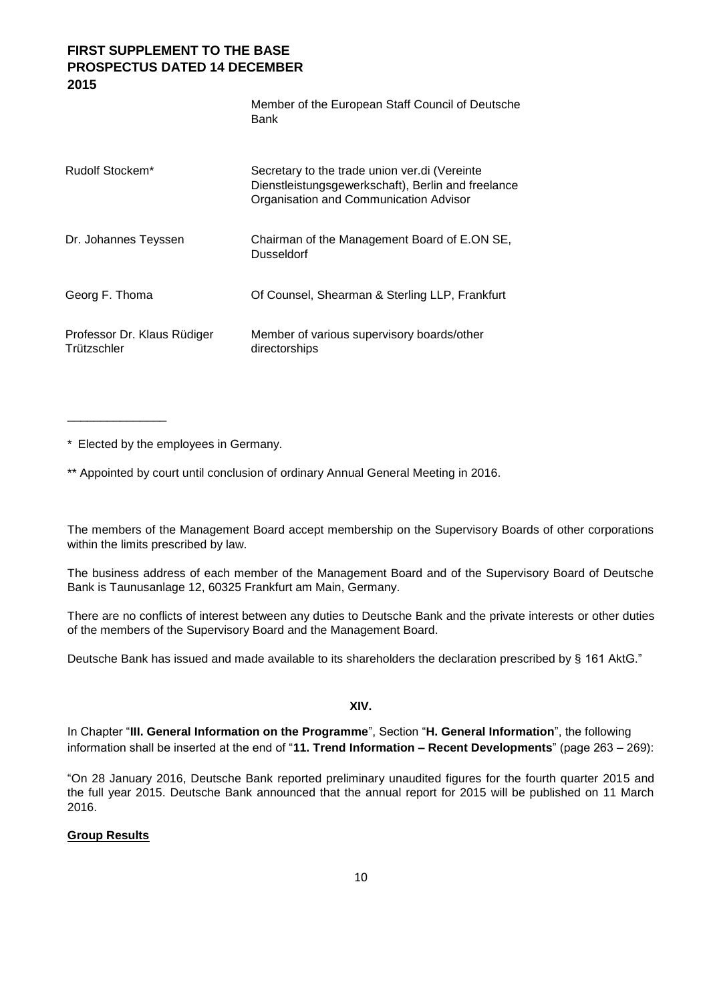|                                            | Member of the European Staff Council of Deutsche<br>Bank                                                                                      |
|--------------------------------------------|-----------------------------------------------------------------------------------------------------------------------------------------------|
| Rudolf Stockem*                            | Secretary to the trade union ver.di (Vereinte<br>Dienstleistungsgewerkschaft), Berlin and freelance<br>Organisation and Communication Advisor |
| Dr. Johannes Teyssen                       | Chairman of the Management Board of E.ON SE,<br>Dusseldorf                                                                                    |
| Georg F. Thoma                             | Of Counsel, Shearman & Sterling LLP, Frankfurt                                                                                                |
| Professor Dr. Klaus Rüdiger<br>Trützschler | Member of various supervisory boards/other<br>directorships                                                                                   |

\* Elected by the employees in Germany.

\_\_\_\_\_\_\_\_\_\_\_\_\_\_\_

\*\* Appointed by court until conclusion of ordinary Annual General Meeting in 2016.

The members of the Management Board accept membership on the Supervisory Boards of other corporations within the limits prescribed by law.

The business address of each member of the Management Board and of the Supervisory Board of Deutsche Bank is Taunusanlage 12, 60325 Frankfurt am Main, Germany.

There are no conflicts of interest between any duties to Deutsche Bank and the private interests or other duties of the members of the Supervisory Board and the Management Board.

Deutsche Bank has issued and made available to its shareholders the declaration prescribed by § 161 AktG."

**XIV.**

In Chapter "**III. General Information on the Programme**", Section "**H. General Information**", the following information shall be inserted at the end of "**11. Trend Information – Recent Developments**" (page 263 – 269):

"On 28 January 2016, Deutsche Bank reported preliminary unaudited figures for the fourth quarter 2015 and the full year 2015. Deutsche Bank announced that the annual report for 2015 will be published on 11 March 2016.

### **Group Results**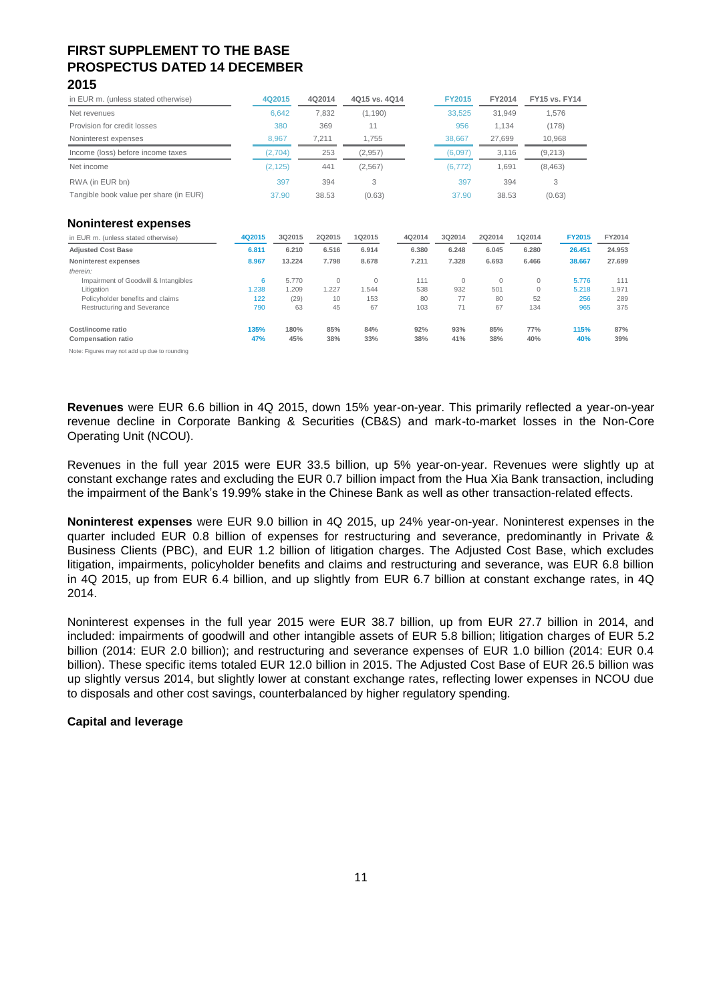| in EUR m. (unless stated otherwise)    | 4Q2015   | 4Q2014 | 4Q15 vs. 4Q14 | <b>FY2015</b> | FY2014 | <b>FY15 vs. FY14</b> |
|----------------------------------------|----------|--------|---------------|---------------|--------|----------------------|
| Net revenues                           | 6.642    | 7.832  | (1, 190)      | 33.525        | 31.949 | 1.576                |
| Provision for credit losses            | 380      | 369    | 11            | 956           | 1.134  | (178)                |
| Noninterest expenses                   | 8.967    | 7.211  | 1.755         | 38.667        | 27.699 | 10.968               |
| Income (loss) before income taxes      | (2,704)  | 253    | (2.957)       | (6.097)       | 3.116  | (9,213)              |
| Net income                             | (2, 125) | 441    | (2, 567)      | (6, 772)      | 1.691  | (8, 463)             |
| RWA (in EUR bn)                        | 397      | 394    | 3             | 397           | 394    | 3                    |
| Tangible book value per share (in EUR) | 37.90    | 38.53  | (0.63)        | 37.90         | 38.53  | (0.63)               |

#### **Noninterest expenses**

| in EUR m. (unless stated otherwise)            | 4Q2015      | 3Q2015      | 202015     | 102015     | 4Q2014     | 3Q2014           | 2Q2014     | 1Q2014       | <b>FY2015</b> | FY2014     |
|------------------------------------------------|-------------|-------------|------------|------------|------------|------------------|------------|--------------|---------------|------------|
| <b>Adjusted Cost Base</b>                      | 6.811       | 6.210       | 6.516      | 6.914      | 6.380      | 6.248            | 6.045      | 6.280        | 26.451        | 24.953     |
| Noninterest expenses                           | 8.967       | 13.224      | 7.798      | 8.678      | 7.211      | 7.328            | 6.693      | 6.466        | 38.667        | 27.699     |
| therein:                                       |             |             |            |            |            |                  |            |              |               |            |
| Impairment of Goodwill & Intangibles           | 6           | 5.770       | $\Omega$   | $\Omega$   | 111        | $\mathbf{0}$     | 0          | $\mathbf{0}$ | 5.776         | 111        |
| Litigation                                     | 1.238       | 1.209       | 1.227      | 1.544      | 538        | 932              | 501        | $\mathbf{0}$ | 5.218         | 1.971      |
| Policyholder benefits and claims               | 122         | (29)        | 10         | 153        | 80         | 77               | 80         | 52           | 256           | 289        |
| Restructuring and Severance                    | 790         | 63          | 45         | 67         | 103        | 74<br>$\sqrt{1}$ | 67         | 134          | 965           | 375        |
| Cost/income ratio<br><b>Compensation ratio</b> | 135%<br>47% | 180%<br>45% | 85%<br>38% | 84%<br>33% | 92%<br>38% | 93%<br>41%       | 85%<br>38% | 77%<br>40%   | 115%<br>40%   | 87%<br>39% |

Note: Figures may not add up due to rounding

**Revenues** were EUR 6.6 billion in 4Q 2015, down 15% year-on-year. This primarily reflected a year-on-year revenue decline in Corporate Banking & Securities (CB&S) and mark-to-market losses in the Non-Core Operating Unit (NCOU).

Revenues in the full year 2015 were EUR 33.5 billion, up 5% year-on-year. Revenues were slightly up at constant exchange rates and excluding the EUR 0.7 billion impact from the Hua Xia Bank transaction, including the impairment of the Bank's 19.99% stake in the Chinese Bank as well as other transaction-related effects.

**Noninterest expenses** were EUR 9.0 billion in 4Q 2015, up 24% year-on-year. Noninterest expenses in the quarter included EUR 0.8 billion of expenses for restructuring and severance, predominantly in Private & Business Clients (PBC), and EUR 1.2 billion of litigation charges. The Adjusted Cost Base, which excludes litigation, impairments, policyholder benefits and claims and restructuring and severance, was EUR 6.8 billion in 4Q 2015, up from EUR 6.4 billion, and up slightly from EUR 6.7 billion at constant exchange rates, in 4Q 2014.

Noninterest expenses in the full year 2015 were EUR 38.7 billion, up from EUR 27.7 billion in 2014, and included: impairments of goodwill and other intangible assets of EUR 5.8 billion; litigation charges of EUR 5.2 billion (2014: EUR 2.0 billion); and restructuring and severance expenses of EUR 1.0 billion (2014: EUR 0.4 billion). These specific items totaled EUR 12.0 billion in 2015. The Adjusted Cost Base of EUR 26.5 billion was up slightly versus 2014, but slightly lower at constant exchange rates, reflecting lower expenses in NCOU due to disposals and other cost savings, counterbalanced by higher regulatory spending.

### **Capital and leverage**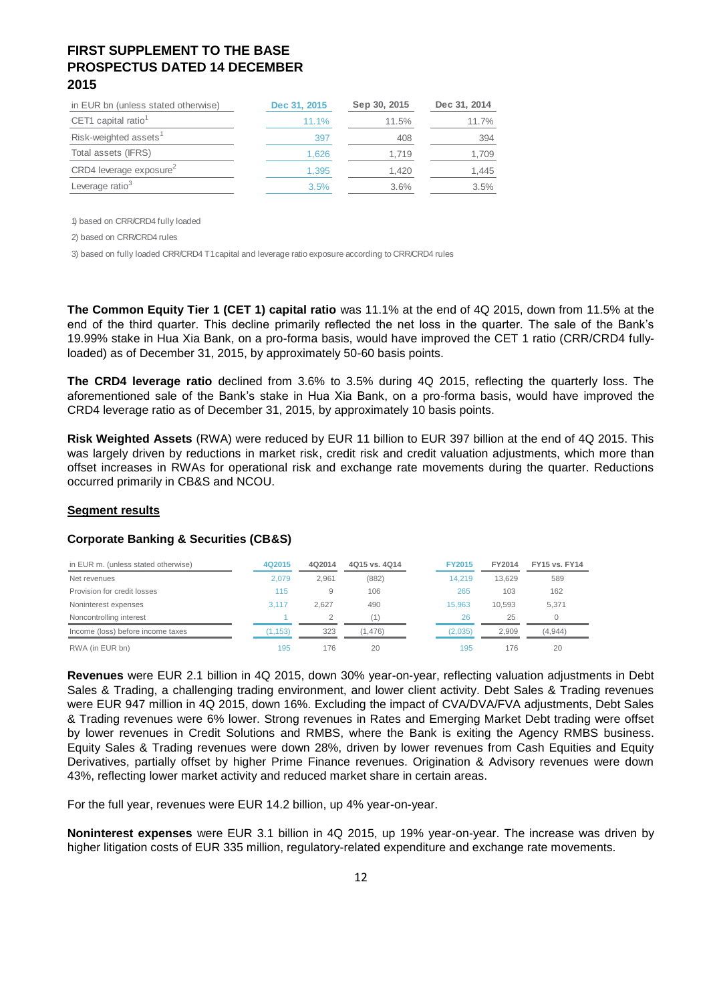| in EUR bn (unless stated otherwise) | Dec 31, 2015 | Sep 30, 2015 | Dec 31, 2014 |
|-------------------------------------|--------------|--------------|--------------|
| CET1 capital ratio <sup>1</sup>     | 11.1%        | 11.5%        | 11.7%        |
| Risk-weighted assets                | 397          | 408          | 394          |
| Total assets (IFRS)                 | 1.626        | 1.719        | 1,709        |
| CRD4 leverage exposure <sup>2</sup> | 1.395        | 1.420        | 1.445        |
| Leverage ratio <sup>3</sup>         | 3.5%         | 3.6%         | 3.5%         |

1) based on CRR/CRD4 fully loaded

2) based on CRR/CRD4 rules

3) based on fully loaded CRR/CRD4 T1 capital and leverage ratio exposure according to CRR/CRD4 rules

**The Common Equity Tier 1 (CET 1) capital ratio** was 11.1% at the end of 4Q 2015, down from 11.5% at the end of the third quarter. This decline primarily reflected the net loss in the quarter. The sale of the Bank's 19.99% stake in Hua Xia Bank, on a pro-forma basis, would have improved the CET 1 ratio (CRR/CRD4 fullyloaded) as of December 31, 2015, by approximately 50-60 basis points.

**The CRD4 leverage ratio** declined from 3.6% to 3.5% during 4Q 2015, reflecting the quarterly loss. The aforementioned sale of the Bank's stake in Hua Xia Bank, on a pro-forma basis, would have improved the CRD4 leverage ratio as of December 31, 2015, by approximately 10 basis points.

**Risk Weighted Assets** (RWA) were reduced by EUR 11 billion to EUR 397 billion at the end of 4Q 2015. This was largely driven by reductions in market risk, credit risk and credit valuation adjustments, which more than offset increases in RWAs for operational risk and exchange rate movements during the quarter. Reductions occurred primarily in CB&S and NCOU.

### **Segment results**

### **Corporate Banking & Securities (CB&S)**

| in EUR m. (unless stated otherwise) | 4Q2015  | 4Q2014 | 4015 vs. 4014 | <b>FY2015</b> | FY2014 | <b>FY15 vs. FY14</b> |
|-------------------------------------|---------|--------|---------------|---------------|--------|----------------------|
| Net revenues                        | 2.079   | 2.961  | (882)         | 14.219        | 13.629 | 589                  |
| Provision for credit losses         | 115     | 9      | 106           | 265           | 103    | 162                  |
| Noninterest expenses                | 3.117   | 2.627  | 490           | 15.963        | 10.593 | 5.371                |
| Noncontrolling interest             |         |        | '1)           | 26            | 25     |                      |
| Income (loss) before income taxes   | (1.153) | 323    | (1.476)       | (2.035)       | 2.909  | (4,944)              |
| RWA (in EUR bn)                     | 195     | 176    | 20            | 195           | 176    | 20                   |

**Revenues** were EUR 2.1 billion in 4Q 2015, down 30% year-on-year, reflecting valuation adjustments in Debt Sales & Trading, a challenging trading environment, and lower client activity. Debt Sales & Trading revenues were EUR 947 million in 4Q 2015, down 16%. Excluding the impact of CVA/DVA/FVA adjustments, Debt Sales & Trading revenues were 6% lower. Strong revenues in Rates and Emerging Market Debt trading were offset by lower revenues in Credit Solutions and RMBS, where the Bank is exiting the Agency RMBS business. Equity Sales & Trading revenues were down 28%, driven by lower revenues from Cash Equities and Equity Derivatives, partially offset by higher Prime Finance revenues. Origination & Advisory revenues were down 43%, reflecting lower market activity and reduced market share in certain areas.

For the full year, revenues were EUR 14.2 billion, up 4% year-on-year.

**Noninterest expenses** were EUR 3.1 billion in 4Q 2015, up 19% year-on-year. The increase was driven by higher litigation costs of EUR 335 million, regulatory-related expenditure and exchange rate movements.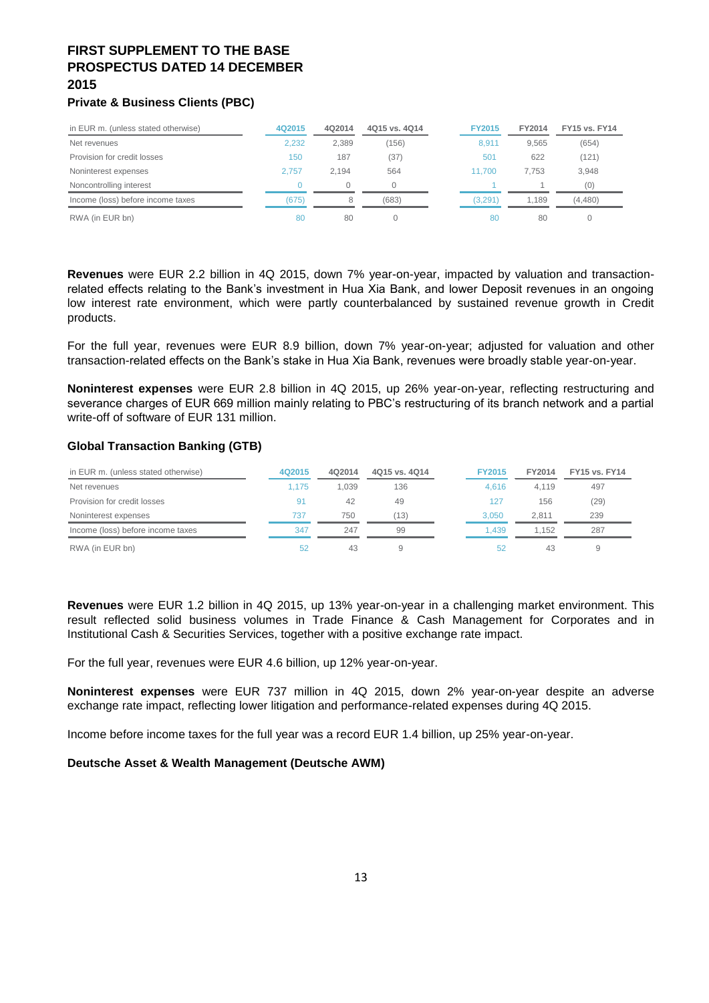## **Private & Business Clients (PBC)**

| in EUR m. (unless stated otherwise) | 4Q2015 | 4Q2014 | 4Q15 vs. 4Q14 | <b>FY2015</b>   | FY2014 | <b>FY15 vs. FY14</b> |
|-------------------------------------|--------|--------|---------------|-----------------|--------|----------------------|
| Net revenues                        | 2.232  | 2.389  | (156)         | 8.911           | 9.565  | (654)                |
| Provision for credit losses         | 150    | 187    | (37)          | 50 <sup>1</sup> | 622    | (121)                |
| Noninterest expenses                | 2.757  | 2.194  | 564           | 11.700          | 7.753  | 3,948                |
| Noncontrolling interest             |        |        |               |                 |        | (0)                  |
| Income (loss) before income taxes   | (675)  | 8      | (683)         | (3.291)         | 1.189  | (4,480)              |
| RWA (in EUR bn)                     | 80     | 80     |               | 80              | 80     |                      |

**Revenues** were EUR 2.2 billion in 4Q 2015, down 7% year-on-year, impacted by valuation and transactionrelated effects relating to the Bank's investment in Hua Xia Bank, and lower Deposit revenues in an ongoing low interest rate environment, which were partly counterbalanced by sustained revenue growth in Credit products.

For the full year, revenues were EUR 8.9 billion, down 7% year-on-year; adjusted for valuation and other transaction-related effects on the Bank's stake in Hua Xia Bank, revenues were broadly stable year-on-year.

**Noninterest expenses** were EUR 2.8 billion in 4Q 2015, up 26% year-on-year, reflecting restructuring and severance charges of EUR 669 million mainly relating to PBC's restructuring of its branch network and a partial write-off of software of EUR 131 million.

### **Global Transaction Banking (GTB)**

| in EUR m. (unless stated otherwise) | 4Q2015 | 4Q2014 | 4Q15 vs. 4Q14 | <b>FY2015</b> | FY2014 | <b>FY15 vs. FY14</b> |
|-------------------------------------|--------|--------|---------------|---------------|--------|----------------------|
| Net revenues                        | 1.175  | 1.039  | 136           | 4.616         | 4.119  | 497                  |
| Provision for credit losses         | 91     | 42     | 49            | 127           | 156    | (29)                 |
| Noninterest expenses                | 737    | 750    | (13)          | 3.050         | 2.811  | 239                  |
| Income (loss) before income taxes   | 347    | 247    | 99            | 1.439         | 1.152  | 287                  |
| RWA (in EUR bn)                     | 52     | 43     | 9             | 52            | 43     | 9                    |

**Revenues** were EUR 1.2 billion in 4Q 2015, up 13% year-on-year in a challenging market environment. This result reflected solid business volumes in Trade Finance & Cash Management for Corporates and in Institutional Cash & Securities Services, together with a positive exchange rate impact.

For the full year, revenues were EUR 4.6 billion, up 12% year-on-year.

**Noninterest expenses** were EUR 737 million in 4Q 2015, down 2% year-on-year despite an adverse exchange rate impact, reflecting lower litigation and performance-related expenses during 4Q 2015.

Income before income taxes for the full year was a record EUR 1.4 billion, up 25% year-on-year.

### **Deutsche Asset & Wealth Management (Deutsche AWM)**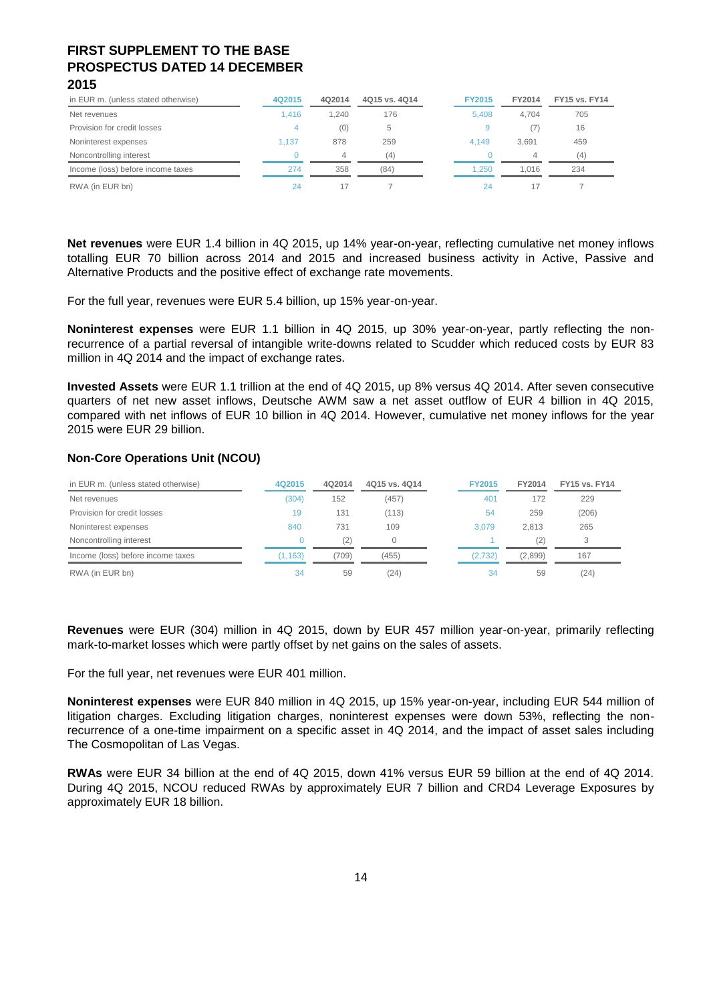| in EUR m. (unless stated otherwise) | 4Q2015 | 4Q2014 | 4Q15 vs. 4Q14 | <b>FY2015</b> | FY2014 | <b>FY15 vs. FY14</b> |
|-------------------------------------|--------|--------|---------------|---------------|--------|----------------------|
| Net revenues                        | 1.416  | 1.240  | 176           | 5.408         | 4.704  | 705                  |
| Provision for credit losses         | 4      | (0)    | 5             | 9             | (7)    | 16                   |
| Noninterest expenses                | 1.137  | 878    | 259           | 4.149         | 3.691  | 459                  |
| Noncontrolling interest             |        |        | (4)           |               | 4      | (4)                  |
| Income (loss) before income taxes   | 274    | 358    | (84)          | 1.250         | 1.016  | 234                  |
| RWA (in EUR bn)                     | 24     | 17     |               | 24            | 17     |                      |

**Net revenues** were EUR 1.4 billion in 4Q 2015, up 14% year-on-year, reflecting cumulative net money inflows totalling EUR 70 billion across 2014 and 2015 and increased business activity in Active, Passive and Alternative Products and the positive effect of exchange rate movements.

For the full year, revenues were EUR 5.4 billion, up 15% year-on-year.

**Noninterest expenses** were EUR 1.1 billion in 4Q 2015, up 30% year-on-year, partly reflecting the nonrecurrence of a partial reversal of intangible write-downs related to Scudder which reduced costs by EUR 83 million in 4Q 2014 and the impact of exchange rates.

**Invested Assets** were EUR 1.1 trillion at the end of 4Q 2015, up 8% versus 4Q 2014. After seven consecutive quarters of net new asset inflows, Deutsche AWM saw a net asset outflow of EUR 4 billion in 4Q 2015, compared with net inflows of EUR 10 billion in 4Q 2014. However, cumulative net money inflows for the year 2015 were EUR 29 billion.

### **Non-Core Operations Unit (NCOU)**

| in EUR m. (unless stated otherwise) | 4Q2015  | 4Q2014 | 4Q15 vs. 4Q14 | <b>FY2015</b> | FY2014  | <b>FY15 vs. FY14</b> |
|-------------------------------------|---------|--------|---------------|---------------|---------|----------------------|
| Net revenues                        | (304)   | 152    | (457)         | 401           | 172     | 229                  |
| Provision for credit losses         | 19      | 131    | (113)         | 54            | 259     | (206)                |
| Noninterest expenses                | 840     | 731    | 109           | 3.079         | 2.813   | 265                  |
| Noncontrolling interest             |         | (2)    | 0             |               | (2)     | 3                    |
| Income (loss) before income taxes   | (1.163) | (709)  | (455)         | (2,732)       | (2,899) | 167                  |
| RWA (in EUR bn)                     | 34      | 59     | (24)          | 34            | 59      | (24)                 |

**Revenues** were EUR (304) million in 4Q 2015, down by EUR 457 million year-on-year, primarily reflecting mark-to-market losses which were partly offset by net gains on the sales of assets.

For the full year, net revenues were EUR 401 million.

**Noninterest expenses** were EUR 840 million in 4Q 2015, up 15% year-on-year, including EUR 544 million of litigation charges. Excluding litigation charges, noninterest expenses were down 53%, reflecting the nonrecurrence of a one-time impairment on a specific asset in 4Q 2014, and the impact of asset sales including The Cosmopolitan of Las Vegas.

**RWAs** were EUR 34 billion at the end of 4Q 2015, down 41% versus EUR 59 billion at the end of 4Q 2014. During 4Q 2015, NCOU reduced RWAs by approximately EUR 7 billion and CRD4 Leverage Exposures by approximately EUR 18 billion.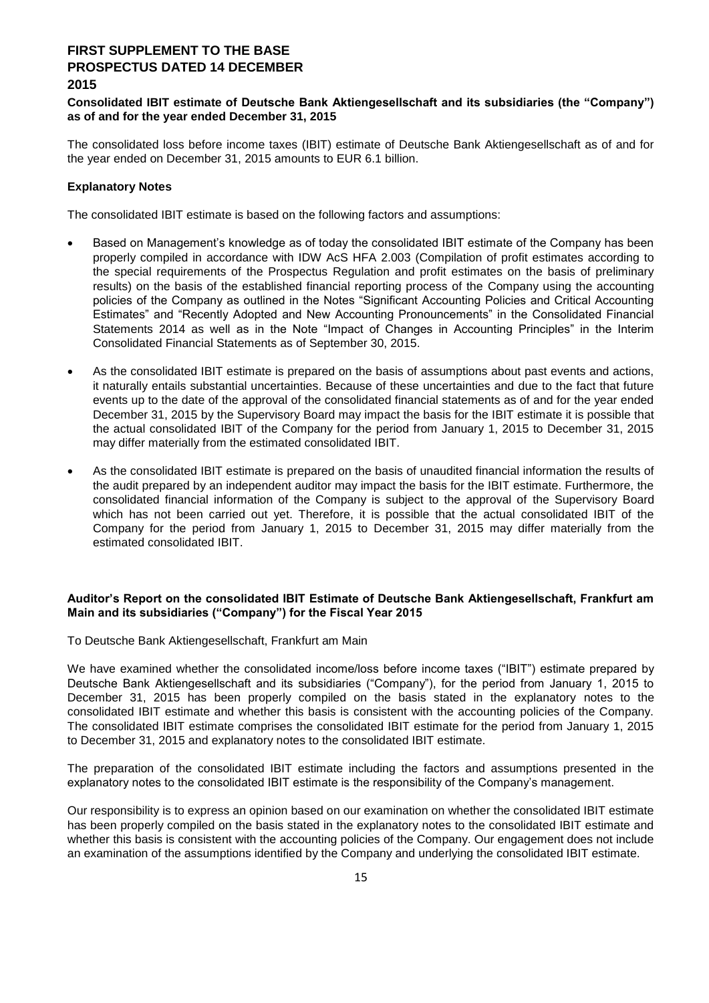### **Consolidated IBIT estimate of Deutsche Bank Aktiengesellschaft and its subsidiaries (the "Company") as of and for the year ended December 31, 2015**

The consolidated loss before income taxes (IBIT) estimate of Deutsche Bank Aktiengesellschaft as of and for the year ended on December 31, 2015 amounts to EUR 6.1 billion.

### **Explanatory Notes**

The consolidated IBIT estimate is based on the following factors and assumptions:

- Based on Management's knowledge as of today the consolidated IBIT estimate of the Company has been properly compiled in accordance with IDW AcS HFA 2.003 (Compilation of profit estimates according to the special requirements of the Prospectus Regulation and profit estimates on the basis of preliminary results) on the basis of the established financial reporting process of the Company using the accounting policies of the Company as outlined in the Notes "Significant Accounting Policies and Critical Accounting Estimates" and "Recently Adopted and New Accounting Pronouncements" in the Consolidated Financial Statements 2014 as well as in the Note "Impact of Changes in Accounting Principles" in the Interim Consolidated Financial Statements as of September 30, 2015.
- As the consolidated IBIT estimate is prepared on the basis of assumptions about past events and actions, it naturally entails substantial uncertainties. Because of these uncertainties and due to the fact that future events up to the date of the approval of the consolidated financial statements as of and for the year ended December 31, 2015 by the Supervisory Board may impact the basis for the IBIT estimate it is possible that the actual consolidated IBIT of the Company for the period from January 1, 2015 to December 31, 2015 may differ materially from the estimated consolidated IBIT.
- As the consolidated IBIT estimate is prepared on the basis of unaudited financial information the results of the audit prepared by an independent auditor may impact the basis for the IBIT estimate. Furthermore, the consolidated financial information of the Company is subject to the approval of the Supervisory Board which has not been carried out yet. Therefore, it is possible that the actual consolidated IBIT of the Company for the period from January 1, 2015 to December 31, 2015 may differ materially from the estimated consolidated IBIT.

### **Auditor's Report on the consolidated IBIT Estimate of Deutsche Bank Aktiengesellschaft, Frankfurt am Main and its subsidiaries ("Company") for the Fiscal Year 2015**

To Deutsche Bank Aktiengesellschaft, Frankfurt am Main

We have examined whether the consolidated income/loss before income taxes ("IBIT") estimate prepared by Deutsche Bank Aktiengesellschaft and its subsidiaries ("Company"), for the period from January 1, 2015 to December 31, 2015 has been properly compiled on the basis stated in the explanatory notes to the consolidated IBIT estimate and whether this basis is consistent with the accounting policies of the Company. The consolidated IBIT estimate comprises the consolidated IBIT estimate for the period from January 1, 2015 to December 31, 2015 and explanatory notes to the consolidated IBIT estimate.

The preparation of the consolidated IBIT estimate including the factors and assumptions presented in the explanatory notes to the consolidated IBIT estimate is the responsibility of the Company's management.

Our responsibility is to express an opinion based on our examination on whether the consolidated IBIT estimate has been properly compiled on the basis stated in the explanatory notes to the consolidated IBIT estimate and whether this basis is consistent with the accounting policies of the Company. Our engagement does not include an examination of the assumptions identified by the Company and underlying the consolidated IBIT estimate.